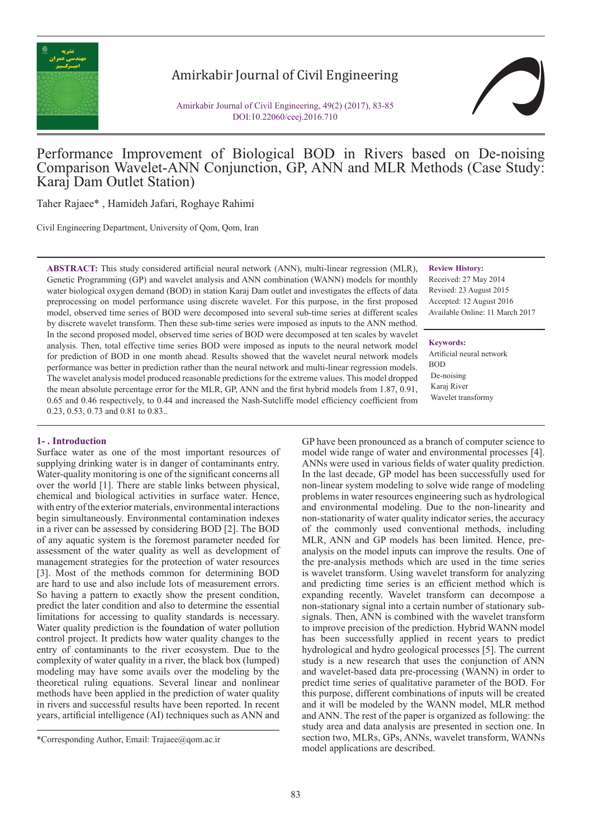

# Amirkabir Journal of Civil Engineering

Amirkabir Journal of Civil Engineering, 49(2) (2017), 83-85 DOI:10.22060/ceej.2016.710



## Performance Improvement of Biological BOD in Rivers based on De-noising Comparison Wavelet-ANN Conjunction, GP, ANN and MLR Methods (Case Study: Karaj Dam Outlet Station)

Taher Rajaee\* , Hamideh Jafari, Roghaye Rahimi

Civil Engineering Department, University of Qom, Qom, Iran

**ABSTRACT:** This study considered artificial neural network (ANN), multi-linear regression (MLR), Genetic Programming (GP) and wavelet analysis and ANN combination (WANN) models for monthly water biological oxygen demand (BOD) in station Karaj Dam outlet and investigates the effects of data preprocessing on model performance using discrete wavelet. For this purpose, in the first proposed model, observed time series of BOD were decomposed into several sub-time series at different scales by discrete wavelet transform. Then these sub-time series were imposed as inputs to the ANN method. In the second proposed model, observed time series of BOD were decomposed at ten scales by wavelet analysis. Then, total effective time series BOD were imposed as inputs to the neural network model for prediction of BOD in one month ahead. Results showed that the wavelet neural network models performance was better in prediction rather than the neural network and multi-linear regression models. The wavelet analysis model produced reasonable predictions for the extreme values. This model dropped the mean absolute percentage error for the MLR, GP, ANN and the first hybrid models from 1.87, 0.91, 0.65 and 0.46 respectively, to 0.44 and increased the Nash-Sutcliffe model efficiency coefficient from 0.23, 0.53, 0.73 and 0.81 to 0.83..

#### **1- . Introduction**

Surface water as one of the most important resources of supplying drinking water is in danger of contaminants entry. Water-quality monitoring is one of the significant concerns all over the world [1]. There are stable links between physical, chemical and biological activities in surface water. Hence, with entry of the exterior materials, environmental interactions begin simultaneously. Environmental contamination indexes in a river can be assessed by considering BOD [2]. The BOD of any aquatic system is the foremost parameter needed for assessment of the water quality as well as development of management strategies for the protection of water resources [3]. Most of the methods common for determining BOD are hard to use and also include lots of measurement errors. So having a pattern to exactly show the present condition, predict the later condition and also to determine the essential limitations for accessing to quality standards is necessary. Water quality prediction is the foundation of water pollution control project. It predicts how water quality changes to the entry of contaminants to the river ecosystem. Due to the complexity of water quality in a river, the black box (lumped) modeling may have some avails over the modeling by the theoretical ruling equations. Several linear and nonlinear methods have been applied in the prediction of water quality in rivers and successful results have been reported. In recent years, artificial intelligence (AI) techniques such as ANN and

**Review History:**

Received: 27 May 2014 Revised: 23 August 2015 Accepted: 12 August 2016 Available Online: 11 March 2017

**Keywords:**

Artificial neural network BOD De-noising Karaj River Wavelet transformy

GP have been pronounced as a branch of computer science to model wide range of water and environmental processes [4]. ANNs were used in various fields of water quality prediction. In the last decade, GP model has been successfully used for non-linear system modeling to solve wide range of modeling problems in water resources engineering such as hydrological and environmental modeling. Due to the non-linearity and non-stationarity of water quality indicator series, the accuracy of the commonly used conventional methods, including MLR, ANN and GP models has been limited. Hence, preanalysis on the model inputs can improve the results. One of the pre-analysis methods which are used in the time series is wavelet transform. Using wavelet transform for analyzing and predicting time series is an efficient method which is expanding recently. Wavelet transform can decompose a non-stationary signal into a certain number of stationary subsignals. Then, ANN is combined with the wavelet transform to improve precision of the prediction. Hybrid WANN model has been successfully applied in recent years to predict hydrological and hydro geological processes [5]. The current study is a new research that uses the conjunction of ANN and wavelet-based data pre-processing (WANN) in order to predict time series of qualitative parameter of the BOD. For this purpose, different combinations of inputs will be created and it will be modeled by the WANN model, MLR method and ANN. The rest of the paper is organized as following: the study area and data analysis are presented in section one. In section two, MLRs, GPs, ANNs, wavelet transform, WANNs model applications are described.

<sup>\*</sup>Corresponding Author, Email: Trajaee@qom.ac.ir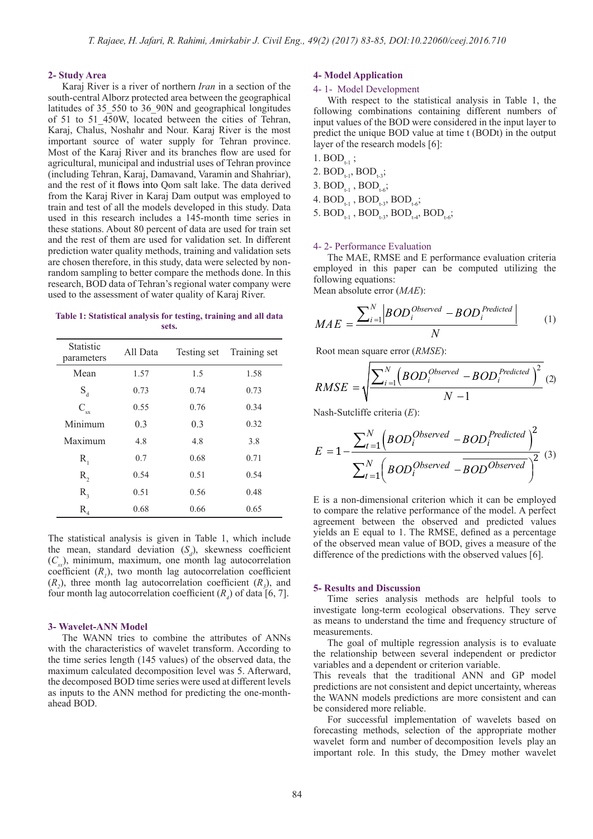#### **2- Study Area**

Karaj River is a river of northern *Iran* in a section of the south-central Alborz protected area between the geographical latitudes of 35\_550 to 36\_90N and geographical longitudes of 51 to 51\_450W, located between the cities of Tehran, Karaj, Chalus, Noshahr and Nour. Karaj River is the most important source of water supply for Tehran province. Most of the Karaj River and its branches flow are used for agricultural, municipal and industrial uses of Tehran province (including Tehran, Karaj, Damavand, Varamin and Shahriar), and the rest of it flows into Qom salt lake. The data derived from the Karaj River in Karaj Dam output was employed to train and test of all the models developed in this study. Data used in this research includes a 145-month time series in these stations. About 80 percent of data are used for train set and the rest of them are used for validation set. In different prediction water quality methods, training and validation sets are chosen therefore, in this study, data were selected by nonrandom sampling to better compare the methods done. In this research, BOD data of Tehran's regional water company were used to the assessment of water quality of Karaj River.

**Table 1: Statistical analysis for testing, training and all data sets.**

| <b>Statistic</b><br>parameters | All Data | Testing set | Training set |
|--------------------------------|----------|-------------|--------------|
| Mean                           | 1.57     | 1.5         | 1.58         |
| $S_d$                          | 0.73     | 0.74        | 0.73         |
| $C_{\rm sx}$                   | 0.55     | 0.76        | 0.34         |
| Minimum                        | 0.3      | 0.3         | 0.32         |
| Maximum                        | 4.8      | 4.8         | 3.8          |
| $R_{1}$                        | 0.7      | 0.68        | 0.71         |
| R,                             | 0.54     | 0.51        | 0.54         |
| $R_{\rm a}$                    | 0.51     | 0.56        | 0.48         |
| $R_{4}$                        | 0.68     | 0.66        | 0.65         |

The statistical analysis is given in Table 1, which include the mean, standard deviation  $(S_d)$ , skewness coefficient  $(C_{\infty})$ , minimum, maximum, one month lag autocorrelation coefficient  $(R<sub>1</sub>)$ , two month lag autocorrelation coefficient  $(R_2)$ , three month lag autocorrelation coefficient  $(R_3)$ , and four month lag autocorrelation coefficient  $(R_4)$  of data [6, 7].

#### **3- Wavelet-ANN Model**

The WANN tries to combine the attributes of ANNs with the characteristics of wavelet transform. According to the time series length (145 values) of the observed data, the maximum calculated decomposition level was 5. Afterward, the decomposed BOD time series were used at different levels as inputs to the ANN method for predicting the one-monthahead BOD.

#### **4- Model Application**

#### 4- 1- Model Development

With respect to the statistical analysis in Table 1, the following combinations containing different numbers of input values of the BOD were considered in the input layer to predict the unique BOD value at time t (BODt) in the output layer of the research models [6]:

- 1.  $BOD_{t-1}$ ; 2.  $BOD_{t-1}$ ,  $BOD_{t-3}$ ; 3.  $BOD_{t-1}$ ,  $BOD_{t-6}$ ; 4.  $BOD_{t-1}$ ,  $BOD_{t-3}$ ,  $BOD_{t-6}$ ;
- 5.  $BOD_{t-1}$ ,  $BOD_{t-3}$ ,  $BOD_{t-4}$ ,  $BOD_{t-6}$ ;

#### 4- 2- Performance Evaluation

The MAE, RMSE and E performance evaluation criteria employed in this paper can be computed utilizing the following equations:

Mean absolute error (*MAE*):

$$
MAE = \frac{\sum_{i=1}^{N} |BOD_i^{Observed} - BOD_i^{Predicted}|}{N}
$$
 (1)

Root mean square error (*RMSE*):

$$
RMSE = \sqrt{\frac{\sum_{i=1}^{N} (BOD_i^{Observed} - BOD_i^{Predicted})^2}{N-1}}
$$
 (2)

Nash-Sutcliffe criteria (*E*):

$$
E = 1 - \frac{\sum_{t=1}^{N} \left( BOD_i^{Observed} - BOD_i^{Predicted} \right)^2}{\sum_{t=1}^{N} \left( BOD_i^{Observed} - BOD^{Observed} \right)^2} \tag{3}
$$

E is a non-dimensional criterion which it can be employed to compare the relative performance of the model. A perfect agreement between the observed and predicted values yields an E equal to 1. The RMSE, defined as a percentage of the observed mean value of BOD, gives a measure of the difference of the predictions with the observed values [6].

#### **5- Results and Discussion**

Time series analysis methods are helpful tools to investigate long-term ecological observations. They serve as means to understand the time and frequency structure of measurements.

The goal of multiple regression analysis is to evaluate the relationship between several independent or predictor variables and a dependent or criterion variable.

This reveals that the traditional ANN and GP model predictions are not consistent and depict uncertainty, whereas the WANN models predictions are more consistent and can be considered more reliable.

For successful implementation of wavelets based on forecasting methods, selection of the appropriate mother wavelet form and number of decomposition levels play an important role. In this study, the Dmey mother wavelet